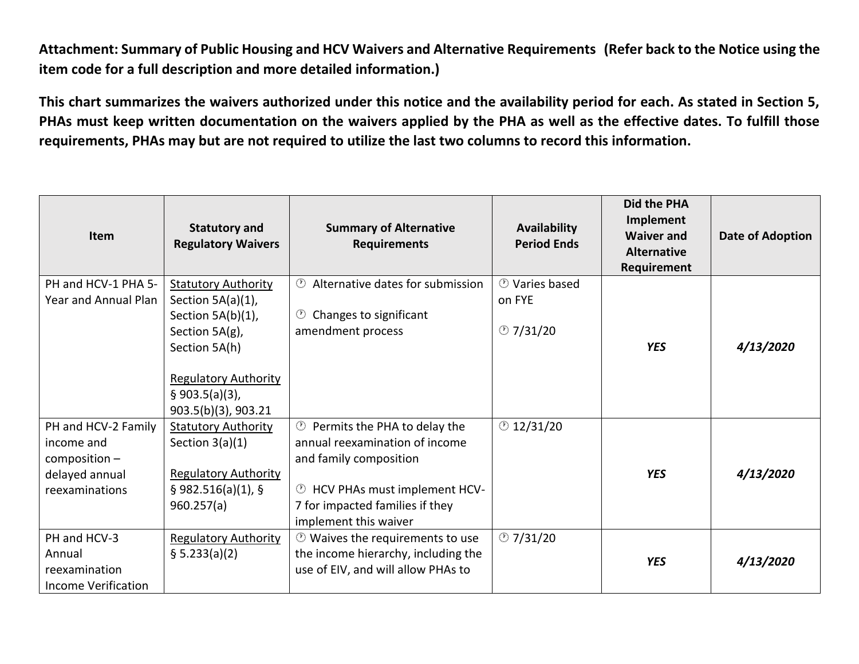**Attachment: Summary of Public Housing and HCV Waivers and Alternative Requirements (Refer back to the Notice using the item code for a full description and more detailed information.)** 

**This chart summarizes the waivers authorized under this notice and the availability period for each. As stated in Section 5, PHAs must keep written documentation on the waivers applied by the PHA as well as the effective dates. To fulfill those requirements, PHAs may but are not required to utilize the last two columns to record this information.** 

| <b>Item</b>                                                                              | <b>Statutory and</b><br><b>Regulatory Waivers</b>                                                                    | <b>Summary of Alternative</b><br><b>Requirements</b>                                                                                                                                                           | Availability<br><b>Period Ends</b> | Did the PHA<br>Implement<br><b>Waiver and</b><br><b>Alternative</b><br>Requirement | Date of Adoption |
|------------------------------------------------------------------------------------------|----------------------------------------------------------------------------------------------------------------------|----------------------------------------------------------------------------------------------------------------------------------------------------------------------------------------------------------------|------------------------------------|------------------------------------------------------------------------------------|------------------|
| PH and HCV-1 PHA 5-                                                                      | <b>Statutory Authority</b>                                                                                           | <b>①</b> Alternative dates for submission                                                                                                                                                                      | <b><i>O</i></b> Varies based       |                                                                                    |                  |
| Year and Annual Plan                                                                     | Section 5A(a)(1),                                                                                                    |                                                                                                                                                                                                                | on FYE                             |                                                                                    |                  |
|                                                                                          | Section 5A(b)(1),                                                                                                    | Changes to significant<br>(1)                                                                                                                                                                                  |                                    |                                                                                    |                  |
|                                                                                          | Section 5A(g),                                                                                                       | amendment process                                                                                                                                                                                              | $\circ$ 7/31/20                    |                                                                                    |                  |
|                                                                                          | Section 5A(h)                                                                                                        |                                                                                                                                                                                                                |                                    | <b>YES</b>                                                                         | 4/13/2020        |
|                                                                                          | <b>Regulatory Authority</b><br>$§$ 903.5(a)(3),<br>903.5(b)(3), 903.21                                               |                                                                                                                                                                                                                |                                    |                                                                                    |                  |
| PH and HCV-2 Family<br>income and<br>$composition -$<br>delayed annual<br>reexaminations | <b>Statutory Authority</b><br>Section $3(a)(1)$<br><b>Regulatory Authority</b><br>$§$ 982.516(a)(1), §<br>960.257(a) | <sup>1</sup> Permits the PHA to delay the<br>annual reexamination of income<br>and family composition<br><sup>1</sup> HCV PHAs must implement HCV-<br>7 for impacted families if they<br>implement this waiver | $\circ$ 12/31/20                   | <b>YES</b>                                                                         | 4/13/2020        |
| PH and HCV-3<br>Annual<br>reexamination<br><b>Income Verification</b>                    | <b>Regulatory Authority</b><br>§ 5.233(a)(2)                                                                         | $\circled{0}$ Waives the requirements to use<br>the income hierarchy, including the<br>use of EIV, and will allow PHAs to                                                                                      | $\circ$ 7/31/20                    | <b>YES</b>                                                                         | 4/13/2020        |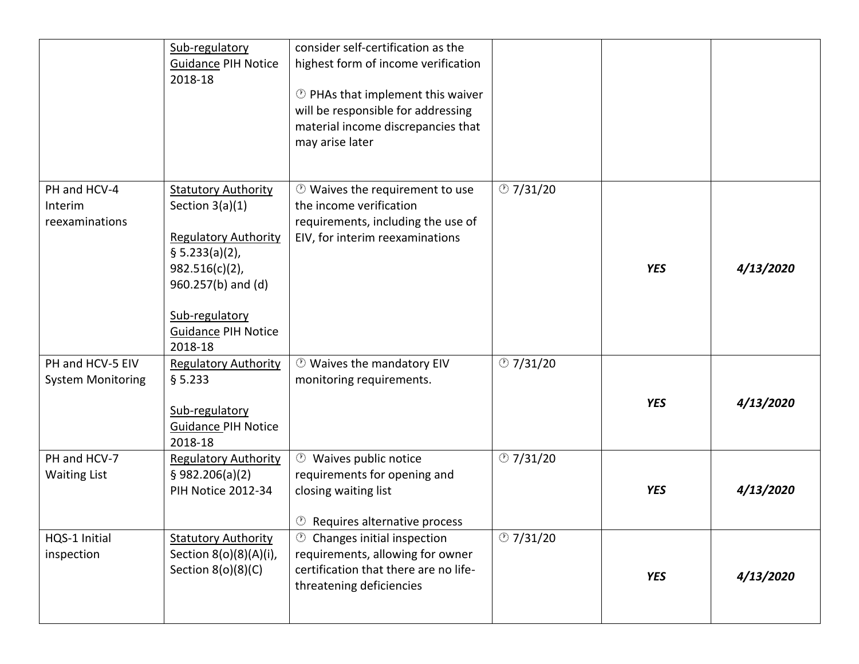|                                              | Sub-regulatory<br><b>Guidance PIH Notice</b><br>2018-18                                                                                                                                                | consider self-certification as the<br>highest form of income verification<br><b>D</b> PHAs that implement this waiver<br>will be responsible for addressing<br>material income discrepancies that<br>may arise later |                 |            |           |
|----------------------------------------------|--------------------------------------------------------------------------------------------------------------------------------------------------------------------------------------------------------|----------------------------------------------------------------------------------------------------------------------------------------------------------------------------------------------------------------------|-----------------|------------|-----------|
| PH and HCV-4<br>Interim<br>reexaminations    | <b>Statutory Authority</b><br>Section $3(a)(1)$<br><b>Regulatory Authority</b><br>§ 5.233(a)(2),<br>$982.516(c)(2)$ ,<br>960.257(b) and (d)<br>Sub-regulatory<br><b>Guidance PIH Notice</b><br>2018-18 | <b><sup>1</sup></b> Waives the requirement to use<br>the income verification<br>requirements, including the use of<br>EIV, for interim reexaminations                                                                | $\circ$ 7/31/20 | <b>YES</b> | 4/13/2020 |
| PH and HCV-5 EIV<br><b>System Monitoring</b> | <b>Regulatory Authority</b><br>§ 5.233<br>Sub-regulatory<br><b>Guidance PIH Notice</b><br>2018-18                                                                                                      | <b><sup>1</sup></b> Waives the mandatory EIV<br>monitoring requirements.                                                                                                                                             | $\circ$ 7/31/20 | <b>YES</b> | 4/13/2020 |
| PH and HCV-7<br><b>Waiting List</b>          | <b>Regulatory Authority</b><br>\$982.206(a)(2)<br><b>PIH Notice 2012-34</b>                                                                                                                            | <b><sup>1</sup></b> Waives public notice<br>requirements for opening and<br>closing waiting list<br><sup>1</sup> Requires alternative process                                                                        | $\circ$ 7/31/20 | <b>YES</b> | 4/13/2020 |
| HQS-1 Initial<br>inspection                  | <b>Statutory Authority</b><br>Section 8(o)(8)(A)(i),<br>Section $8(0)(8)(C)$                                                                                                                           | $\circled{1}$ Changes initial inspection<br>requirements, allowing for owner<br>certification that there are no life-<br>threatening deficiencies                                                                    | $\circ$ 7/31/20 | <b>YES</b> | 4/13/2020 |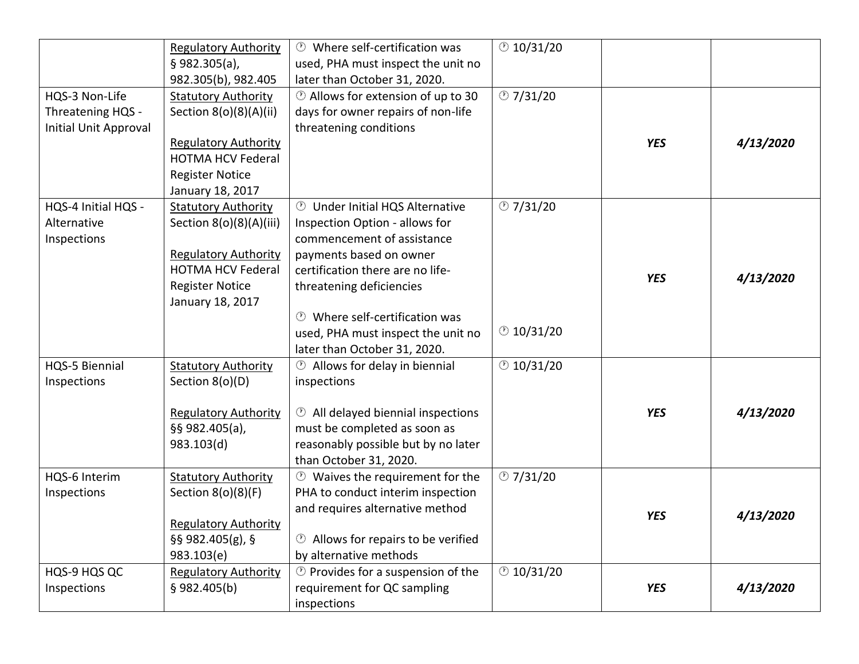|                       | <b>Regulatory Authority</b> | <b><sup>1</sup></b> Where self-certification was     | $\circ$ 10/31/20 |            |           |
|-----------------------|-----------------------------|------------------------------------------------------|------------------|------------|-----------|
|                       | $§$ 982.305(a),             | used, PHA must inspect the unit no                   |                  |            |           |
|                       | 982.305(b), 982.405         | later than October 31, 2020.                         |                  |            |           |
| HQS-3 Non-Life        | <b>Statutory Authority</b>  | <b>D</b> Allows for extension of up to 30            | @7/31/20         |            |           |
| Threatening HQS -     | Section 8(o)(8)(A)(ii)      | days for owner repairs of non-life                   |                  |            |           |
| Initial Unit Approval |                             | threatening conditions                               |                  |            |           |
|                       | <b>Regulatory Authority</b> |                                                      |                  | <b>YES</b> | 4/13/2020 |
|                       | <b>HOTMA HCV Federal</b>    |                                                      |                  |            |           |
|                       | <b>Register Notice</b>      |                                                      |                  |            |           |
|                       | January 18, 2017            |                                                      |                  |            |           |
| HQS-4 Initial HQS -   | <b>Statutory Authority</b>  | <b><sup>1</sup></b> Under Initial HQS Alternative    | @7/31/20         |            |           |
| Alternative           | Section 8(o)(8)(A)(iii)     | Inspection Option - allows for                       |                  |            |           |
| Inspections           |                             | commencement of assistance                           |                  |            |           |
|                       | <b>Regulatory Authority</b> | payments based on owner                              |                  |            |           |
|                       | <b>HOTMA HCV Federal</b>    | certification there are no life-                     |                  |            |           |
|                       | <b>Register Notice</b>      | threatening deficiencies                             |                  | <b>YES</b> | 4/13/2020 |
|                       | January 18, 2017            |                                                      |                  |            |           |
|                       |                             | <b><sup>1</sup></b> Where self-certification was     |                  |            |           |
|                       |                             | used, PHA must inspect the unit no                   | $\circ$ 10/31/20 |            |           |
|                       |                             | later than October 31, 2020.                         |                  |            |           |
| HQS-5 Biennial        | <b>Statutory Authority</b>  | $\circled{1}$ Allows for delay in biennial           | $\circ$ 10/31/20 |            |           |
| Inspections           | Section 8(o)(D)             | inspections                                          |                  |            |           |
|                       |                             |                                                      |                  |            |           |
|                       | <b>Regulatory Authority</b> | <b><sup>1</sup></b> All delayed biennial inspections |                  | <b>YES</b> | 4/13/2020 |
|                       | §§ 982.405(a),              | must be completed as soon as                         |                  |            |           |
|                       | 983.103(d)                  | reasonably possible but by no later                  |                  |            |           |
|                       |                             | than October 31, 2020.                               |                  |            |           |
| HQS-6 Interim         | <b>Statutory Authority</b>  | $\circled{0}$ Waives the requirement for the         | @7/31/20         |            |           |
| Inspections           | Section $8(o)(8)(F)$        | PHA to conduct interim inspection                    |                  |            |           |
|                       |                             | and requires alternative method                      |                  | <b>YES</b> | 4/13/2020 |
|                       | <b>Regulatory Authority</b> |                                                      |                  |            |           |
|                       | $§$ § 982.405(g), §         | <b>1</b> Allows for repairs to be verified           |                  |            |           |
|                       | 983.103(e)                  | by alternative methods                               |                  |            |           |
| HQS-9 HQS QC          | <b>Regulatory Authority</b> | $\circledcirc$ Provides for a suspension of the      | $\circ$ 10/31/20 |            |           |
| Inspections           | $§$ 982.405(b)              | requirement for QC sampling                          |                  | <b>YES</b> | 4/13/2020 |
|                       |                             | inspections                                          |                  |            |           |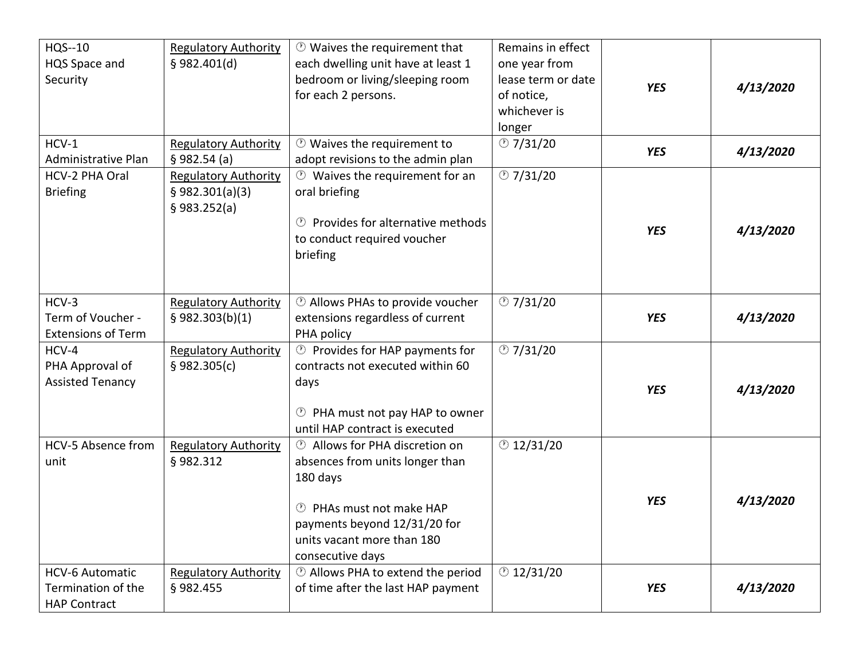| HQS--10<br>HQS Space and<br>Security                                | <b>Regulatory Authority</b><br>$§$ 982.401(d)                  | $\circled{0}$ Waives the requirement that<br>each dwelling unit have at least 1<br>bedroom or living/sleeping room<br>for each 2 persons.                                                                 | Remains in effect<br>one year from<br>lease term or date<br>of notice,<br>whichever is<br>longer | <b>YES</b> | 4/13/2020 |
|---------------------------------------------------------------------|----------------------------------------------------------------|-----------------------------------------------------------------------------------------------------------------------------------------------------------------------------------------------------------|--------------------------------------------------------------------------------------------------|------------|-----------|
| $HCV-1$<br>Administrative Plan                                      | <b>Regulatory Authority</b><br>§ 982.54(a)                     | <sup>1</sup> Waives the requirement to<br>adopt revisions to the admin plan                                                                                                                               | $\circ$ 7/31/20                                                                                  | <b>YES</b> | 4/13/2020 |
| HCV-2 PHA Oral<br><b>Briefing</b>                                   | <b>Regulatory Authority</b><br>§ 982.301(a)(3)<br>§ 983.252(a) | <b><sup>1</sup></b> Waives the requirement for an<br>oral briefing<br><b><sup>1</sup></b> Provides for alternative methods<br>to conduct required voucher<br>briefing                                     | @7/31/20                                                                                         | <b>YES</b> | 4/13/2020 |
| HCV-3<br>Term of Voucher -<br><b>Extensions of Term</b>             | <b>Regulatory Authority</b><br>$§$ 982.303(b)(1)               | <b>D</b> Allows PHAs to provide voucher<br>extensions regardless of current<br>PHA policy                                                                                                                 | $\circ$ 7/31/20                                                                                  | <b>YES</b> | 4/13/2020 |
| HCV-4<br>PHA Approval of<br><b>Assisted Tenancy</b>                 | <b>Regulatory Authority</b><br>\$982.305(c)                    | <sup>1</sup> Provides for HAP payments for<br>contracts not executed within 60<br>days<br><sup>1</sup> PHA must not pay HAP to owner<br>until HAP contract is executed                                    | @7/31/20                                                                                         | <b>YES</b> | 4/13/2020 |
| HCV-5 Absence from<br>unit                                          | <b>Regulatory Authority</b><br>§982.312                        | <b>D</b> Allows for PHA discretion on<br>absences from units longer than<br>180 days<br><b>D</b> PHAs must not make HAP<br>payments beyond 12/31/20 for<br>units vacant more than 180<br>consecutive days | @12/31/20                                                                                        | <b>YES</b> | 4/13/2020 |
| <b>HCV-6 Automatic</b><br>Termination of the<br><b>HAP Contract</b> | <b>Regulatory Authority</b><br>§982.455                        | <b>1</b> Allows PHA to extend the period<br>of time after the last HAP payment                                                                                                                            | @12/31/20                                                                                        | <b>YES</b> | 4/13/2020 |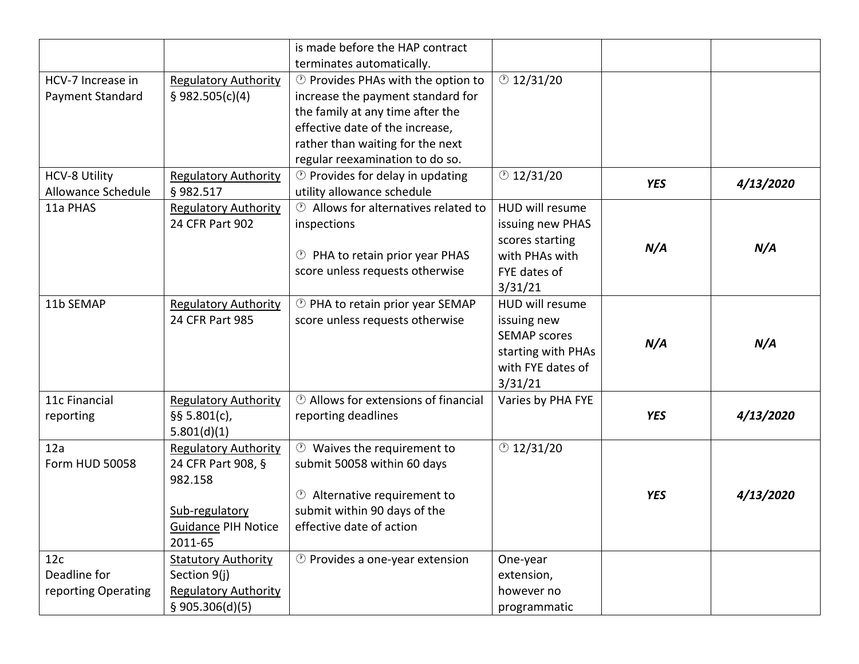|                      |                             | is made before the HAP contract                          |                     |            |           |
|----------------------|-----------------------------|----------------------------------------------------------|---------------------|------------|-----------|
|                      |                             | terminates automatically.                                |                     |            |           |
| HCV-7 Increase in    | <b>Regulatory Authority</b> | <b>D</b> Provides PHAs with the option to                | @12/31/20           |            |           |
| Payment Standard     | \$982.505(c)(4)             | increase the payment standard for                        |                     |            |           |
|                      |                             | the family at any time after the                         |                     |            |           |
|                      |                             | effective date of the increase,                          |                     |            |           |
|                      |                             | rather than waiting for the next                         |                     |            |           |
|                      |                             | regular reexamination to do so.                          |                     |            |           |
| <b>HCV-8 Utility</b> | <b>Regulatory Authority</b> | <sup>1</sup> Provides for delay in updating              | @12/31/20           |            |           |
| Allowance Schedule   | §982.517                    | utility allowance schedule                               |                     | <b>YES</b> | 4/13/2020 |
| 11a PHAS             | <b>Regulatory Authority</b> | <b><sup>①</sup></b> Allows for alternatives related to   | HUD will resume     |            |           |
|                      | 24 CFR Part 902             | inspections                                              | issuing new PHAS    |            |           |
|                      |                             |                                                          | scores starting     |            |           |
|                      |                             | <sup>1</sup> PHA to retain prior year PHAS               | with PHAs with      | N/A        | N/A       |
|                      |                             | score unless requests otherwise                          | FYE dates of        |            |           |
|                      |                             |                                                          | 3/31/21             |            |           |
| 11b SEMAP            | <b>Regulatory Authority</b> | <sup>1</sup> PHA to retain prior year SEMAP              | HUD will resume     |            |           |
|                      | 24 CFR Part 985             | score unless requests otherwise                          | issuing new         |            |           |
|                      |                             |                                                          | <b>SEMAP scores</b> |            |           |
|                      |                             |                                                          | starting with PHAs  | N/A        | N/A       |
|                      |                             |                                                          | with FYE dates of   |            |           |
|                      |                             |                                                          | 3/31/21             |            |           |
| 11c Financial        | <b>Regulatory Authority</b> | <b><sup>1</sup></b> Allows for extensions of financial   | Varies by PHA FYE   |            |           |
| reporting            | $§$ § 5.801(c),             | reporting deadlines                                      |                     | <b>YES</b> | 4/13/2020 |
|                      | 5.801(d)(1)                 |                                                          |                     |            |           |
| 12a                  | <b>Regulatory Authority</b> | <b><sup>1</sup></b> Waives the requirement to            | @12/31/20           |            |           |
| Form HUD 50058       | 24 CFR Part 908, §          | submit 50058 within 60 days                              |                     |            |           |
|                      | 982.158                     |                                                          |                     |            |           |
|                      |                             | <b><sup>1</sup></b> Alternative requirement to           |                     | <b>YES</b> | 4/13/2020 |
|                      | Sub-regulatory              | submit within 90 days of the                             |                     |            |           |
|                      | <b>Guidance PIH Notice</b>  | effective date of action                                 |                     |            |           |
|                      | 2011-65                     |                                                          |                     |            |           |
| 12c                  | <b>Statutory Authority</b>  | <b><i><sup>1</sup></i></b> Provides a one-year extension | One-year            |            |           |
| Deadline for         | Section 9(j)                |                                                          | extension,          |            |           |
| reporting Operating  | <b>Regulatory Authority</b> |                                                          | however no          |            |           |
|                      | \$905.306(d)(5)             |                                                          | programmatic        |            |           |